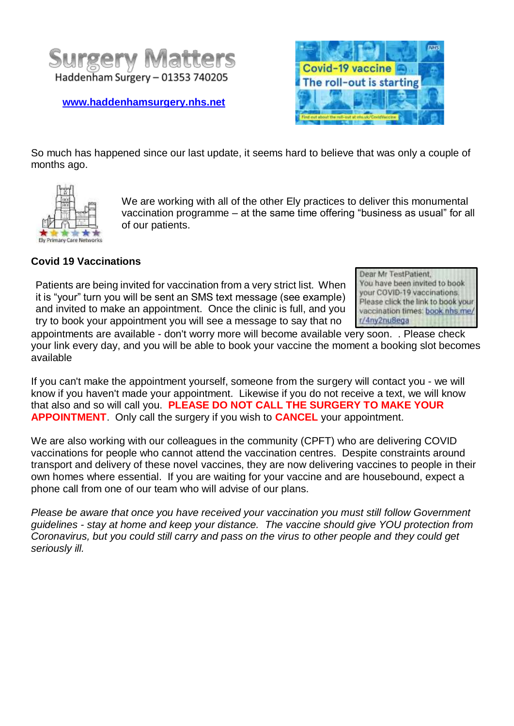

**[www.haddenhamsurgery.nhs.net](http://www.haddenhamsurgery.nhs.net/)**



So much has happened since our last update, it seems hard to believe that was only a couple of months ago.



We are working with all of the other Ely practices to deliver this monumental vaccination programme – at the same time offering "business as usual" for all of our patients.

## **Covid 19 Vaccinations**

Patients are being invited for vaccination from a very strict list. When it is "your" turn you will be sent an SMS text message (see example) and invited to make an appointment. Once the clinic is full, and you try to book your appointment you will see a message to say that no

Dear Mr TestPatient, You have been invited to book your COVID-19 vaccinations. Please click the link to book your vaccination times: book.nhs.me/ r/4ny2nu8ega

appointments are available - don't worry more will become available very soon. . Please check your link every day, and you will be able to book your vaccine the moment a booking slot becomes available

If you can't make the appointment yourself, someone from the surgery will contact you - we will know if you haven't made your appointment. Likewise if you do not receive a text, we will know that also and so will call you. **PLEASE DO NOT CALL THE SURGERY TO MAKE YOUR APPOINTMENT**. Only call the surgery if you wish to **CANCEL** your appointment.

We are also working with our colleagues in the community (CPFT) who are delivering COVID vaccinations for people who cannot attend the vaccination centres. Despite constraints around transport and delivery of these novel vaccines, they are now delivering vaccines to people in their own homes where essential. If you are waiting for your vaccine and are housebound, expect a phone call from one of our team who will advise of our plans.

*Please be aware that once you have received your vaccination you must still follow Government guidelines - stay at home and keep your distance. The vaccine should give YOU protection from Coronavirus, but you could still carry and pass on the virus to other people and they could get seriously ill.*